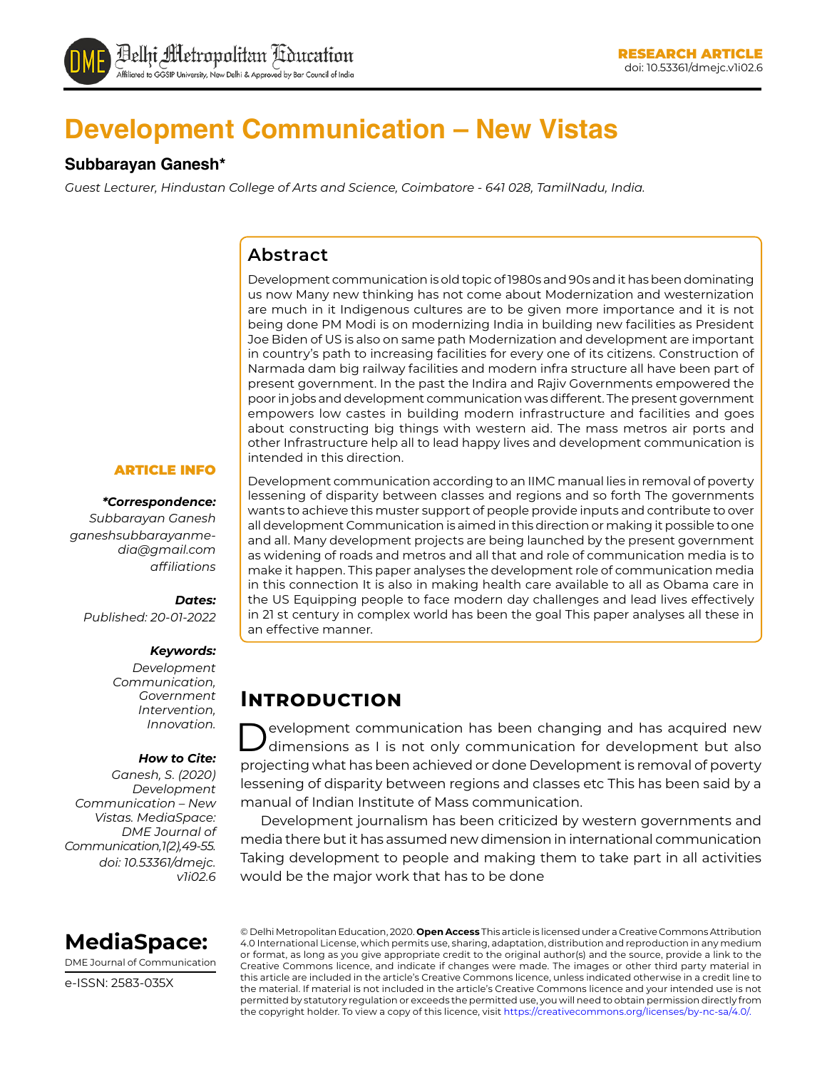

# **Development Communication – New Vistas**

#### **Subbarayan Ganesh\***

*Guest Lecturer, Hindustan College of Arts and Science, Coimbatore - 641 028, TamilNadu, India.*

#### **Abstract**

Development communication is old topic of 1980s and 90s and it has been dominating us now Many new thinking has not come about Modernization and westernization are much in it Indigenous cultures are to be given more importance and it is not being done PM Modi is on modernizing India in building new facilities as President Joe Biden of US is also on same path Modernization and development are important in country's path to increasing facilities for every one of its citizens. Construction of Narmada dam big railway facilities and modern infra structure all have been part of present government. In the past the Indira and Rajiv Governments empowered the poor in jobs and development communication was different. The present government empowers low castes in building modern infrastructure and facilities and goes about constructing big things with western aid. The mass metros air ports and other Infrastructure help all to lead happy lives and development communication is intended in this direction.

#### ARTICLE INFO

#### *\*Correspondence:*

*Subbarayan Ganesh ganeshsubbarayanmedia@gmail.com affiliations*

#### *Dates:*

*Published: 20-01-2022*

#### *Keywords:*

*Development Communication, Government Intervention, Innovation.*

#### *How to Cite:*

*Ganesh, S. (2020) Development Communication – New Vistas. MediaSpace: DME Journal of Communication, 1(2), 49-55. doi: 10.53361/dmejc. v1i02.6* Development communication according to an IIMC manual lies in removal of poverty lessening of disparity between classes and regions and so forth The governments wants to achieve this muster support of people provide inputs and contribute to over all development Communication is aimed in this direction or making it possible to one and all. Many development projects are being launched by the present government as widening of roads and metros and all that and role of communication media is to make it happen. This paper analyses the development role of communication media in this connection It is also in making health care available to all as Obama care in the US Equipping people to face modern day challenges and lead lives effectively in 21 st century in complex world has been the goal This paper analyses all these in an effective manner.

## **Introduction**

evelopment communication has been changing and has acquired new dimensions as I is not only communication for development but also projecting what has been achieved or done Development is removal of poverty lessening of disparity between regions and classes etc This has been said by a manual of Indian Institute of Mass communication.

Development journalism has been criticized by western governments and media there but it has assumed new dimension in international communication Taking development to people and making them to take part in all activities would be the major work that has to be done



DME Journal of Communication

e-ISSN: 2583-035X

© Delhi Metropolitan Education, 2020. **Open Access** This article is licensed under a Creative Commons Attribution 4.0 International License, which permits use, sharing, adaptation, distribution and reproduction in any medium or format, as long as you give appropriate credit to the original author(s) and the source, provide a link to the Creative Commons licence, and indicate if changes were made. The images or other third party material in this article are included in the article's Creative Commons licence, unless indicated otherwise in a credit line to the material. If material is not included in the article's Creative Commons licence and your intended use is not permitted by statutory regulation or exceeds the permitted use, you will need to obtain permission directly from the copyright holder. To view a copy of this licence, visit https://creativecommons.org/licenses/by-nc-sa/4.0/.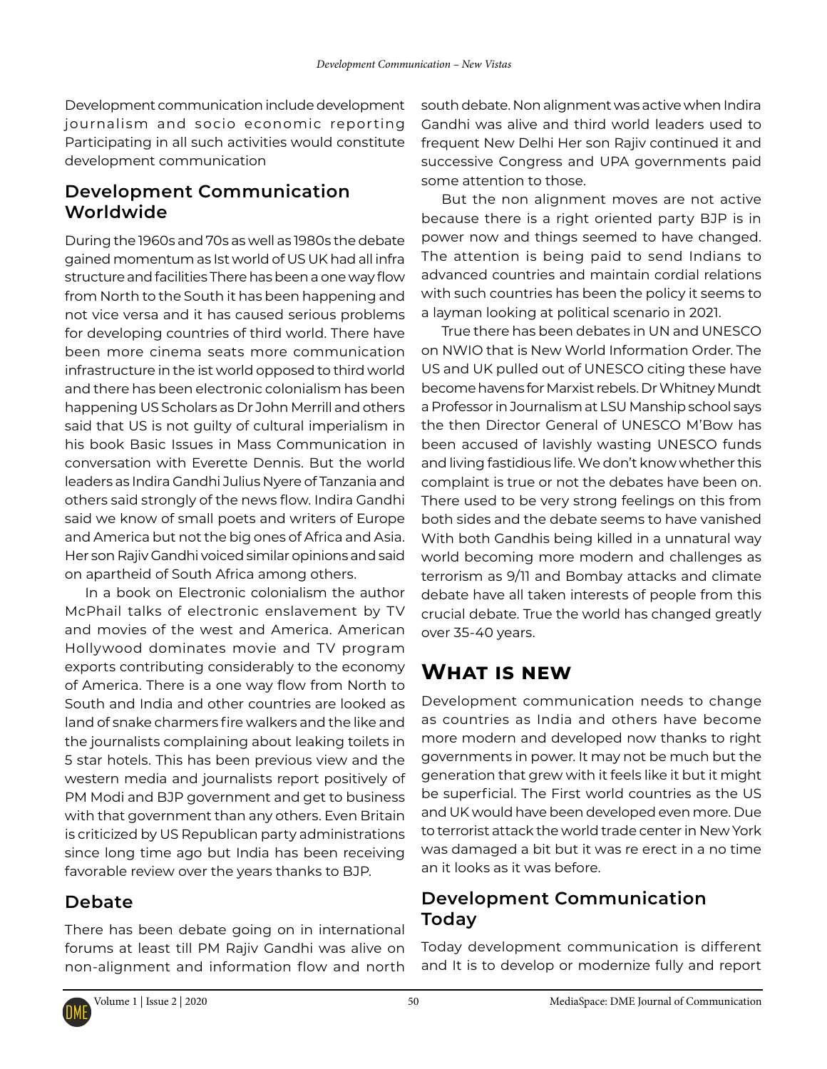Development communication include development journalism and socio economic reporting Participating in all such activities would constitute development communication

### **Development Communication Worldwide**

During the 1960s and 70s as well as 1980s the debate gained momentum as Ist world of US UK had all infra structure and facilities There has been a one way flow from North to the South it has been happening and not vice versa and it has caused serious problems for developing countries of third world. There have been more cinema seats more communication infrastructure in the ist world opposed to third world and there has been electronic colonialism has been happening US Scholars as Dr John Merrill and others said that US is not guilty of cultural imperialism in his book Basic Issues in Mass Communication in conversation with Everette Dennis. But the world leaders as Indira Gandhi Julius Nyere of Tanzania and others said strongly of the news flow. Indira Gandhi said we know of small poets and writers of Europe and America but not the big ones of Africa and Asia. Her son Rajiv Gandhi voiced similar opinions and said on apartheid of South Africa among others.

In a book on Electronic colonialism the author McPhail talks of electronic enslavement by TV and movies of the west and America. American Hollywood dominates movie and TV program exports contributing considerably to the economy of America. There is a one way flow from North to South and India and other countries are looked as land of snake charmers fire walkers and the like and the journalists complaining about leaking toilets in 5 star hotels. This has been previous view and the western media and journalists report positively of PM Modi and BJP government and get to business with that government than any others. Even Britain is criticized by US Republican party administrations since long time ago but India has been receiving favorable review over the years thanks to BJP.

### **Debate**

There has been debate going on in international forums at least till PM Rajiv Gandhi was alive on non-alignment and information flow and north south debate. Non alignment was active when Indira Gandhi was alive and third world leaders used to frequent New Delhi Her son Rajiv continued it and successive Congress and UPA governments paid some attention to those.

But the non alignment moves are not active because there is a right oriented party BJP is in power now and things seemed to have changed. The attention is being paid to send Indians to advanced countries and maintain cordial relations with such countries has been the policy it seems to a layman looking at political scenario in 2021.

True there has been debates in UN and UNESCO on NWIO that is New World Information Order. The US and UK pulled out of UNESCO citing these have become havens for Marxist rebels. Dr Whitney Mundt a Professor in Journalism at LSU Manship school says the then Director General of UNESCO M'Bow has been accused of lavishly wasting UNESCO funds and living fastidious life. We don't know whether this complaint is true or not the debates have been on. There used to be very strong feelings on this from both sides and the debate seems to have vanished With both Gandhis being killed in a unnatural way world becoming more modern and challenges as terrorism as 9/11 and Bombay attacks and climate debate have all taken interests of people from this crucial debate. True the world has changed greatly over 35-40 years.

## **What is new**

Development communication needs to change as countries as India and others have become more modern and developed now thanks to right governments in power. It may not be much but the generation that grew with it feels like it but it might be superficial. The First world countries as the US and UK would have been developed even more. Due to terrorist attack the world trade center in New York was damaged a bit but it was re erect in a no time an it looks as it was before.

### **Development Communication Today**

Today development communication is different and It is to develop or modernize fully and report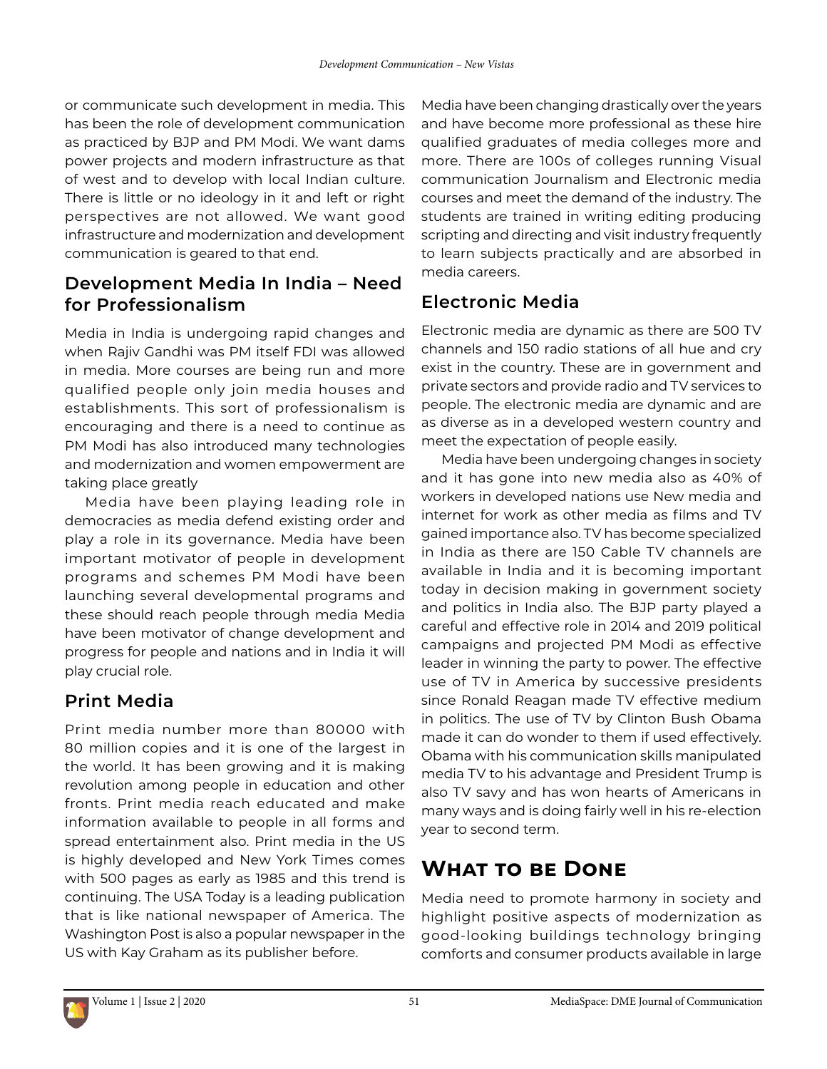or communicate such development in media. This has been the role of development communication as practiced by BJP and PM Modi. We want dams power projects and modern infrastructure as that of west and to develop with local Indian culture. There is little or no ideology in it and left or right perspectives are not allowed. We want good infrastructure and modernization and development communication is geared to that end.

### **Development Media In India – Need for Professionalism**

Media in India is undergoing rapid changes and when Rajiv Gandhi was PM itself FDI was allowed in media. More courses are being run and more qualified people only join media houses and establishments. This sort of professionalism is encouraging and there is a need to continue as PM Modi has also introduced many technologies and modernization and women empowerment are taking place greatly

Media have been playing leading role in democracies as media defend existing order and play a role in its governance. Media have been important motivator of people in development programs and schemes PM Modi have been launching several developmental programs and these should reach people through media Media have been motivator of change development and progress for people and nations and in India it will play crucial role.

## **Print Media**

Print media number more than 80000 with 80 million copies and it is one of the largest in the world. It has been growing and it is making revolution among people in education and other fronts. Print media reach educated and make information available to people in all forms and spread entertainment also. Print media in the US is highly developed and New York Times comes with 500 pages as early as 1985 and this trend is continuing. The USA Today is a leading publication that is like national newspaper of America. The Washington Post is also a popular newspaper in the US with Kay Graham as its publisher before.

Media have been changing drastically over the years and have become more professional as these hire qualified graduates of media colleges more and more. There are 100s of colleges running Visual communication Journalism and Electronic media courses and meet the demand of the industry. The students are trained in writing editing producing scripting and directing and visit industry frequently to learn subjects practically and are absorbed in media careers.

## **Electronic Media**

Electronic media are dynamic as there are 500 TV channels and 150 radio stations of all hue and cry exist in the country. These are in government and private sectors and provide radio and TV services to people. The electronic media are dynamic and are as diverse as in a developed western country and meet the expectation of people easily.

Media have been undergoing changes in society and it has gone into new media also as 40% of workers in developed nations use New media and internet for work as other media as films and TV gained importance also. TV has become specialized in India as there are 150 Cable TV channels are available in India and it is becoming important today in decision making in government society and politics in India also. The BJP party played a careful and effective role in 2014 and 2019 political campaigns and projected PM Modi as effective leader in winning the party to power. The effective use of TV in America by successive presidents since Ronald Reagan made TV effective medium in politics. The use of TV by Clinton Bush Obama made it can do wonder to them if used effectively. Obama with his communication skills manipulated media TV to his advantage and President Trump is also TV savy and has won hearts of Americans in many ways and is doing fairly well in his re-election year to second term.

## **What to be Done**

Media need to promote harmony in society and highlight positive aspects of modernization as good-looking buildings technology bringing comforts and consumer products available in large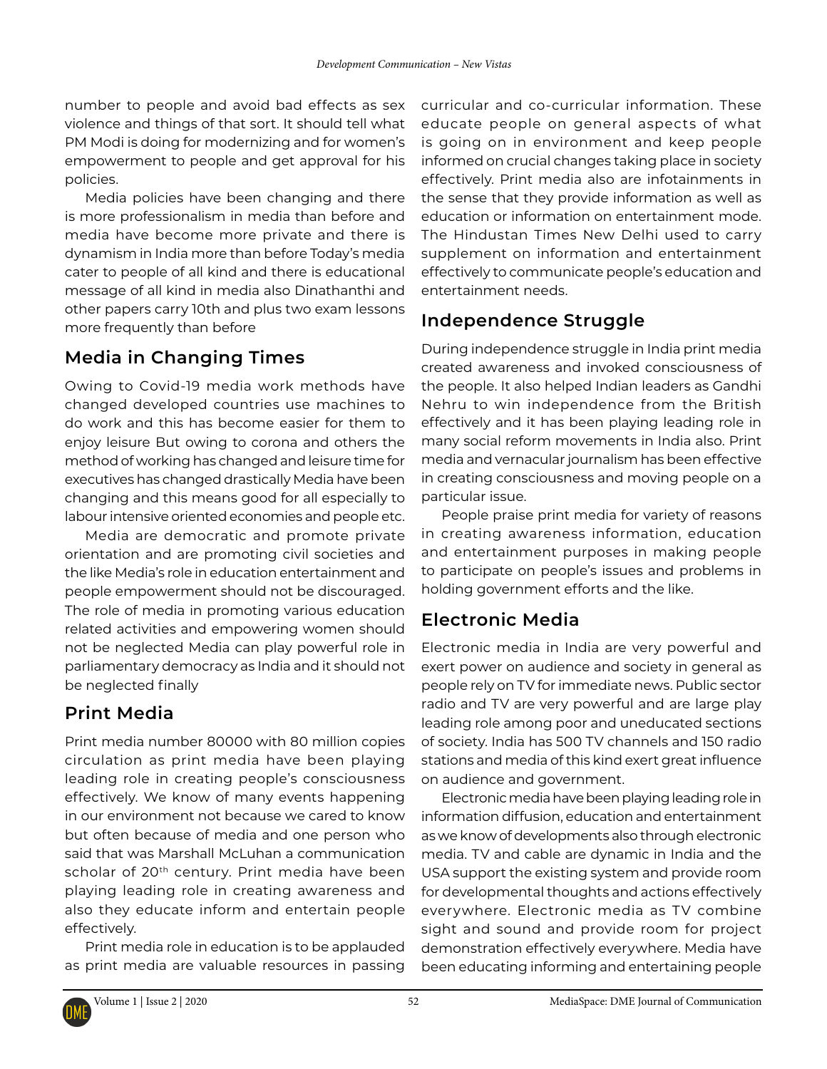number to people and avoid bad effects as sex violence and things of that sort. It should tell what PM Modi is doing for modernizing and for women's empowerment to people and get approval for his policies.

Media policies have been changing and there is more professionalism in media than before and media have become more private and there is dynamism in India more than before Today's media cater to people of all kind and there is educational message of all kind in media also Dinathanthi and other papers carry 10th and plus two exam lessons more frequently than before

## **Media in Changing Times**

Owing to Covid-19 media work methods have changed developed countries use machines to do work and this has become easier for them to enjoy leisure But owing to corona and others the method of working has changed and leisure time for executives has changed drastically Media have been changing and this means good for all especially to labour intensive oriented economies and people etc.

Media are democratic and promote private orientation and are promoting civil societies and the like Media's role in education entertainment and people empowerment should not be discouraged. The role of media in promoting various education related activities and empowering women should not be neglected Media can play powerful role in parliamentary democracy as India and it should not be neglected finally

## **Print Media**

Print media number 80000 with 80 million copies circulation as print media have been playing leading role in creating people's consciousness effectively. We know of many events happening in our environment not because we cared to know but often because of media and one person who said that was Marshall McLuhan a communication scholar of 20<sup>th</sup> century. Print media have been playing leading role in creating awareness and also they educate inform and entertain people effectively.

Print media role in education is to be applauded as print media are valuable resources in passing

curricular and co-curricular information. These educate people on general aspects of what is going on in environment and keep people informed on crucial changes taking place in society effectively. Print media also are infotainments in the sense that they provide information as well as education or information on entertainment mode. The Hindustan Times New Delhi used to carry supplement on information and entertainment effectively to communicate people's education and entertainment needs.

## **Independence Struggle**

During independence struggle in India print media created awareness and invoked consciousness of the people. It also helped Indian leaders as Gandhi Nehru to win independence from the British effectively and it has been playing leading role in many social reform movements in India also. Print media and vernacular journalism has been effective in creating consciousness and moving people on a particular issue.

People praise print media for variety of reasons in creating awareness information, education and entertainment purposes in making people to participate on people's issues and problems in holding government efforts and the like.

## **Electronic Media**

Electronic media in India are very powerful and exert power on audience and society in general as people rely on TV for immediate news. Public sector radio and TV are very powerful and are large play leading role among poor and uneducated sections of society. India has 500 TV channels and 150 radio stations and media of this kind exert great influence on audience and government.

Electronic media have been playing leading role in information diffusion, education and entertainment as we know of developments also through electronic media. TV and cable are dynamic in India and the USA support the existing system and provide room for developmental thoughts and actions effectively everywhere. Electronic media as TV combine sight and sound and provide room for project demonstration effectively everywhere. Media have been educating informing and entertaining people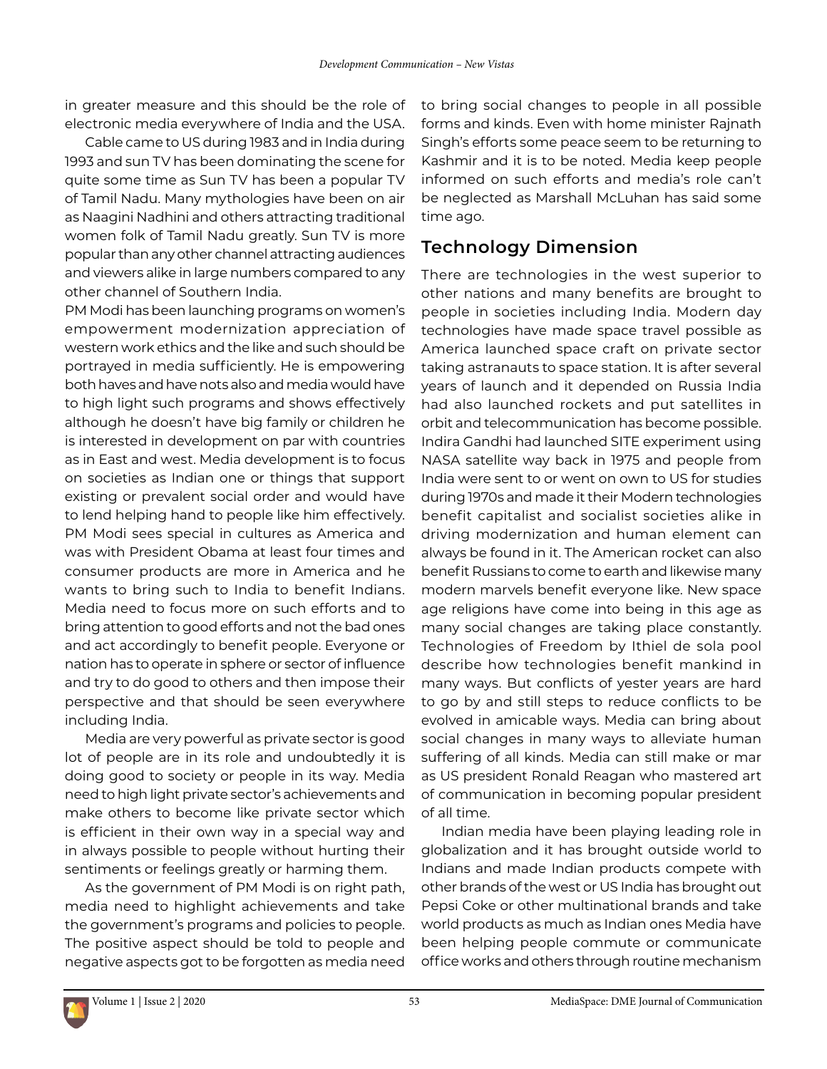in greater measure and this should be the role of electronic media everywhere of India and the USA.

Cable came to US during 1983 and in India during 1993 and sun TV has been dominating the scene for quite some time as Sun TV has been a popular TV of Tamil Nadu. Many mythologies have been on air as Naagini Nadhini and others attracting traditional women folk of Tamil Nadu greatly. Sun TV is more popular than any other channel attracting audiences and viewers alike in large numbers compared to any other channel of Southern India.

PM Modi has been launching programs on women's empowerment modernization appreciation of western work ethics and the like and such should be portrayed in media sufficiently. He is empowering both haves and have nots also and media would have to high light such programs and shows effectively although he doesn't have big family or children he is interested in development on par with countries as in East and west. Media development is to focus on societies as Indian one or things that support existing or prevalent social order and would have to lend helping hand to people like him effectively. PM Modi sees special in cultures as America and was with President Obama at least four times and consumer products are more in America and he wants to bring such to India to benefit Indians. Media need to focus more on such efforts and to bring attention to good efforts and not the bad ones and act accordingly to benefit people. Everyone or nation has to operate in sphere or sector of influence and try to do good to others and then impose their perspective and that should be seen everywhere including India.

Media are very powerful as private sector is good lot of people are in its role and undoubtedly it is doing good to society or people in its way. Media need to high light private sector's achievements and make others to become like private sector which is efficient in their own way in a special way and in always possible to people without hurting their sentiments or feelings greatly or harming them.

As the government of PM Modi is on right path, media need to highlight achievements and take the government's programs and policies to people. The positive aspect should be told to people and negative aspects got to be forgotten as media need

to bring social changes to people in all possible forms and kinds. Even with home minister Rajnath Singh's efforts some peace seem to be returning to Kashmir and it is to be noted. Media keep people informed on such efforts and media's role can't be neglected as Marshall McLuhan has said some time ago.

### **Technology Dimension**

There are technologies in the west superior to other nations and many benefits are brought to people in societies including India. Modern day technologies have made space travel possible as America launched space craft on private sector taking astranauts to space station. It is after several years of launch and it depended on Russia India had also launched rockets and put satellites in orbit and telecommunication has become possible. Indira Gandhi had launched SITE experiment using NASA satellite way back in 1975 and people from India were sent to or went on own to US for studies during 1970s and made it their Modern technologies benefit capitalist and socialist societies alike in driving modernization and human element can always be found in it. The American rocket can also benefit Russians to come to earth and likewise many modern marvels benefit everyone like. New space age religions have come into being in this age as many social changes are taking place constantly. Technologies of Freedom by Ithiel de sola pool describe how technologies benefit mankind in many ways. But conflicts of yester years are hard to go by and still steps to reduce conflicts to be evolved in amicable ways. Media can bring about social changes in many ways to alleviate human suffering of all kinds. Media can still make or mar as US president Ronald Reagan who mastered art of communication in becoming popular president of all time.

Indian media have been playing leading role in globalization and it has brought outside world to Indians and made Indian products compete with other brands of the west or US India has brought out Pepsi Coke or other multinational brands and take world products as much as Indian ones Media have been helping people commute or communicate office works and others through routine mechanism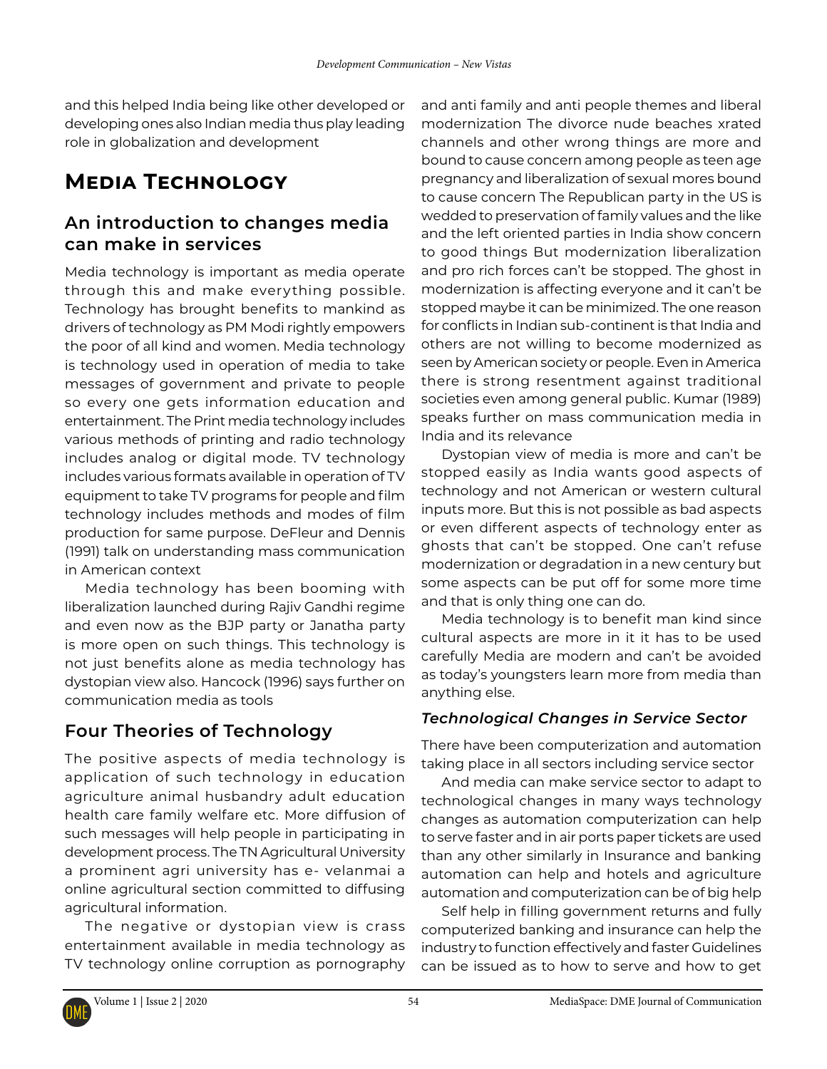and this helped India being like other developed or developing ones also Indian media thus play leading role in globalization and development

## **Media Technology**

### **An introduction to changes media can make in services**

Media technology is important as media operate through this and make everything possible. Technology has brought benefits to mankind as drivers of technology as PM Modi rightly empowers the poor of all kind and women. Media technology is technology used in operation of media to take messages of government and private to people so every one gets information education and entertainment. The Print media technology includes various methods of printing and radio technology includes analog or digital mode. TV technology includes various formats available in operation of TV equipment to take TV programs for people and film technology includes methods and modes of film production for same purpose. DeFleur and Dennis (1991) talk on understanding mass communication in American context

Media technology has been booming with liberalization launched during Rajiv Gandhi regime and even now as the BJP party or Janatha party is more open on such things. This technology is not just benefits alone as media technology has dystopian view also. Hancock (1996) says further on communication media as tools

### **Four Theories of Technology**

The positive aspects of media technology is application of such technology in education agriculture animal husbandry adult education health care family welfare etc. More diffusion of such messages will help people in participating in development process. The TN Agricultural University a prominent agri university has e- velanmai a online agricultural section committed to diffusing agricultural information.

The negative or dystopian view is crass entertainment available in media technology as TV technology online corruption as pornography and anti family and anti people themes and liberal modernization The divorce nude beaches xrated channels and other wrong things are more and bound to cause concern among people as teen age pregnancy and liberalization of sexual mores bound to cause concern The Republican party in the US is wedded to preservation of family values and the like and the left oriented parties in India show concern to good things But modernization liberalization and pro rich forces can't be stopped. The ghost in modernization is affecting everyone and it can't be stopped maybe it can be minimized. The one reason for conflicts in Indian sub-continent is that India and others are not willing to become modernized as seen by American society or people. Even in America there is strong resentment against traditional societies even among general public. Kumar (1989) speaks further on mass communication media in India and its relevance

Dystopian view of media is more and can't be stopped easily as India wants good aspects of technology and not American or western cultural inputs more. But this is not possible as bad aspects or even different aspects of technology enter as ghosts that can't be stopped. One can't refuse modernization or degradation in a new century but some aspects can be put off for some more time and that is only thing one can do.

Media technology is to benefit man kind since cultural aspects are more in it it has to be used carefully Media are modern and can't be avoided as today's youngsters learn more from media than anything else.

#### *Technological Changes in Service Sector*

There have been computerization and automation taking place in all sectors including service sector

And media can make service sector to adapt to technological changes in many ways technology changes as automation computerization can help to serve faster and in air ports paper tickets are used than any other similarly in Insurance and banking automation can help and hotels and agriculture automation and computerization can be of big help

Self help in filling government returns and fully computerized banking and insurance can help the industry to function effectively and faster Guidelines can be issued as to how to serve and how to get